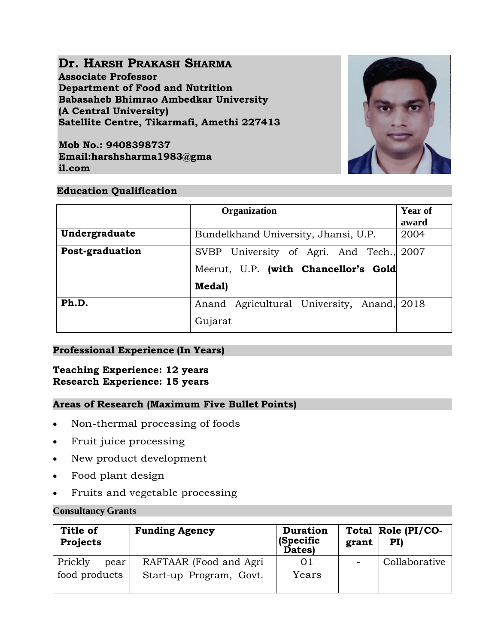# **Dr. HARSH PRAKASH SHARMA**

**Associate Professor Department of Food and Nutrition Babasaheb Bhimrao Ambedkar University (A Central University) Satellite Centre, Tikarmafi, Amethi 227413**

**Mob No.: 9408398737 Email:harshsharma1983@gma il.com**



## **Education Qualification**

|                 | <b>Organization</b>                                                                        | <b>Year of</b><br>award |
|-----------------|--------------------------------------------------------------------------------------------|-------------------------|
| Undergraduate   | Bundelkhand University, Jhansi, U.P.                                                       | 2004                    |
| Post-graduation | SVBP University of Agri. And Tech., 2007<br>Meerut, U.P. (with Chancellor's Gold<br>Medal) |                         |
| Ph.D.           | Anand Agricultural University, Anand, 2018<br>Gujarat                                      |                         |

## **Professional Experience (In Years)**

### **Teaching Experience: 12 years Research Experience: 15 years**

## **Areas of Research (Maximum Five Bullet Points)**

- Non-thermal processing of foods
- Fruit juice processing
- New product development
- Food plant design
- Fruits and vegetable processing

### **Consultancy Grants**

| Title of<br><b>Projects</b> | <b>Funding Agency</b>   | <b>Duration</b><br>(Specific<br>Dates) | grant                    | Total Role (PI/CO-<br>PI |
|-----------------------------|-------------------------|----------------------------------------|--------------------------|--------------------------|
| Prickly<br>pear             | RAFTAAR (Food and Agri  | 01                                     | $\overline{\phantom{m}}$ | Collaborative            |
| food products               | Start-up Program, Govt. | Years                                  |                          |                          |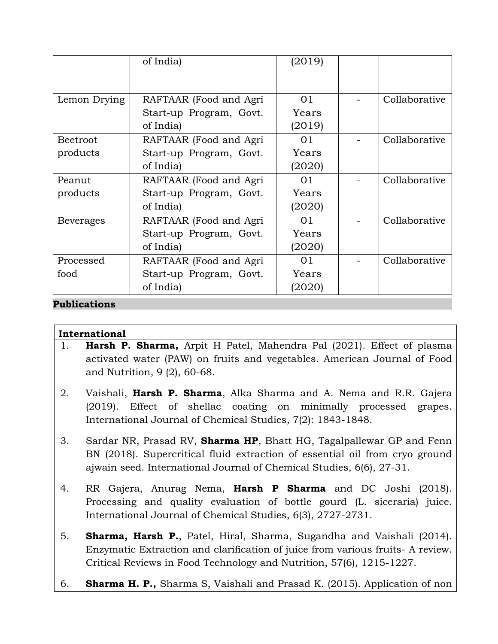|                  | of India)               | (2019) |               |
|------------------|-------------------------|--------|---------------|
|                  |                         |        |               |
| Lemon Drying     | RAFTAAR (Food and Agri  | 01     | Collaborative |
|                  | Start-up Program, Govt. | Years  |               |
|                  | of India)               | (2019) |               |
| <b>Beetroot</b>  | RAFTAAR (Food and Agri  | 01     | Collaborative |
| products         | Start-up Program, Govt. | Years  |               |
|                  | of India)               | (2020) |               |
| Peanut           | RAFTAAR (Food and Agri  | 01     | Collaborative |
| products         | Start-up Program, Govt. | Years  |               |
|                  | of India)               | (2020) |               |
| <b>Beverages</b> | RAFTAAR (Food and Agri  | 01     | Collaborative |
|                  | Start-up Program, Govt. | Years  |               |
|                  | of India)               | (2020) |               |
| Processed        | RAFTAAR (Food and Agri  | 01     | Collaborative |
| food             | Start-up Program, Govt. | Years  |               |
|                  | of India)               | (2020) |               |

## **Publications**

## **International**

- 1. **Harsh P. Sharma,** Arpit H Patel, Mahendra Pal (2021). Effect of plasma activated water (PAW) on fruits and vegetables. American Journal of Food and Nutrition, 9 (2), 60-68.
- 2. Vaishali, **Harsh P. Sharma**, Alka Sharma and A. Nema and R.R. Gajera (2019). Effect of shellac coating on minimally processed grapes. International Journal of Chemical Studies, 7(2): 1843-1848.
- 3. Sardar NR, Prasad RV, **Sharma HP**, Bhatt HG, Tagalpallewar GP and Fenn BN (2018). Supercritical fluid extraction of essential oil from cryo ground ajwain seed. International Journal of Chemical Studies, 6(6), 27-31.
- 4. RR Gajera, Anurag Nema, **Harsh P Sharma** and DC Joshi (2018). Processing and quality evaluation of bottle gourd (L. siceraria) juice. International Journal of Chemical Studies, 6(3), 2727-2731.
- 5. **Sharma, Harsh P.**, Patel, Hiral, Sharma, Sugandha and Vaishali (2014). Enzymatic Extraction and clarification of juice from various fruits- A review. Critical Reviews in Food Technology and Nutrition, 57(6), 1215-1227.
- 6. **Sharma H. P.,** Sharma S, Vaishali and Prasad K. (2015). Application of non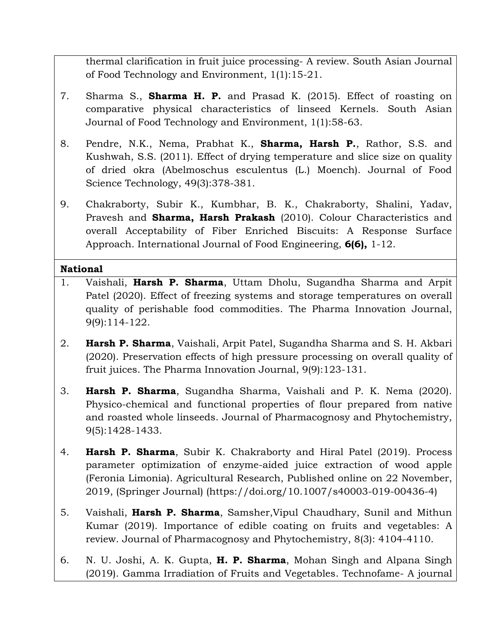thermal clarification in fruit juice processing- A review. South Asian Journal of Food Technology and Environment, 1(1):15-21.

- 7. Sharma S., **Sharma H. P.** and Prasad K. (2015). Effect of roasting on comparative physical characteristics of linseed Kernels. South Asian Journal of Food Technology and Environment, 1(1):58-63.
- 8. Pendre, N.K., Nema, Prabhat K., **Sharma, Harsh P.**, Rathor, S.S. and Kushwah, S.S. (2011). Effect of drying temperature and slice size on quality of dried okra (Abelmoschus esculentus (L.) Moench). Journal of Food Science Technology, 49(3):378-381.
- 9. Chakraborty, Subir K., Kumbhar, B. K., Chakraborty, Shalini, Yadav, Pravesh and **Sharma, Harsh Prakash** (2010). Colour Characteristics and overall Acceptability of Fiber Enriched Biscuits: A Response Surface Approach. International Journal of Food Engineering, **6(6),** 1-12.

## **National**

- 1. Vaishali, **Harsh P. Sharma**, Uttam Dholu, Sugandha Sharma and Arpit Patel (2020). Effect of freezing systems and storage temperatures on overall quality of perishable food commodities. The Pharma Innovation Journal, 9(9):114-122.
- 2. **Harsh P. Sharma**, Vaishali, Arpit Patel, Sugandha Sharma and S. H. Akbari (2020). Preservation effects of high pressure processing on overall quality of fruit juices. The Pharma Innovation Journal, 9(9):123-131.
- 3. **Harsh P. Sharma**, Sugandha Sharma, Vaishali and P. K. Nema (2020). Physico-chemical and functional properties of flour prepared from native and roasted whole linseeds. Journal of Pharmacognosy and Phytochemistry, 9(5):1428-1433.
- 4. **Harsh P. Sharma**, Subir K. Chakraborty and Hiral Patel (2019). Process parameter optimization of enzyme-aided juice extraction of wood apple (Feronia Limonia). Agricultural Research, Published online on 22 November, 2019, (Springer Journal) (https://doi.org/10.1007/s40003-019-00436-4)
- 5. Vaishali, **Harsh P. Sharma**, Samsher,Vipul Chaudhary, Sunil and Mithun Kumar (2019). Importance of edible coating on fruits and vegetables: A review. Journal of Pharmacognosy and Phytochemistry, 8(3): 4104-4110.
- 6. N. U. Joshi, A. K. Gupta, **H. P. Sharma**, Mohan Singh and Alpana Singh (2019). Gamma Irradiation of Fruits and Vegetables. Technofame- A journal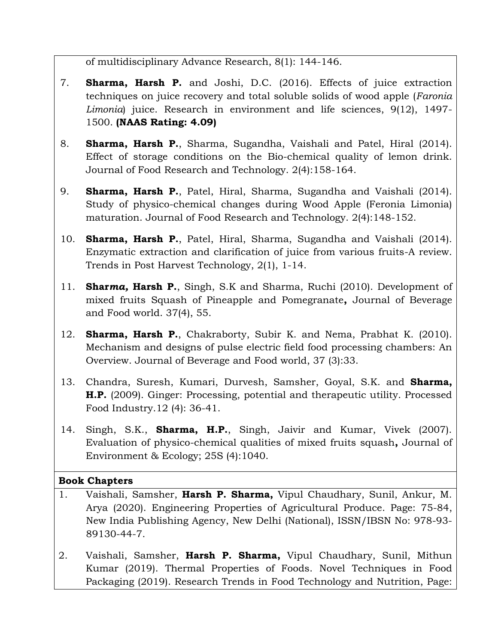of multidisciplinary Advance Research, 8(1): 144-146.

- 7. **Sharma, Harsh P.** and Joshi, D.C. (2016). Effects of juice extraction techniques on juice recovery and total soluble solids of wood apple (*Faronia Limonia*) juice. Research in environment and life sciences, 9(12), 1497- 1500. **(NAAS Rating: 4.09)**
- 8. **Sharma, Harsh P.**, Sharma, Sugandha, Vaishali and Patel, Hiral (2014). Effect of storage conditions on the Bio-chemical quality of lemon drink. Journal of Food Research and Technology. 2(4):158-164.
- 9. **Sharma, Harsh P.**, Patel, Hiral, Sharma, Sugandha and Vaishali (2014). Study of physico-chemical changes during Wood Apple (Feronia Limonia) maturation. Journal of Food Research and Technology. 2(4):148-152.
- 10. **Sharma, Harsh P.**, Patel, Hiral, Sharma, Sugandha and Vaishali (2014). Enzymatic extraction and clarification of juice from various fruits-A review. Trends in Post Harvest Technology, 2(1), 1-14.
- 11. **Shar***ma,* **Harsh P.**, Singh, S.K and Sharma, Ruchi (2010). Development of mixed fruits Squash of Pineapple and Pomegranate**,** Journal of Beverage and Food world. 37(4), 55.
- 12. **Sharma, Harsh P.**, Chakraborty, Subir K. and Nema, Prabhat K. (2010). Mechanism and designs of pulse electric field food processing chambers: An Overview. Journal of Beverage and Food world, 37 (3):33.
- 13. Chandra, Suresh, Kumari, Durvesh, Samsher, Goyal, S.K. and **Sharma, H.P.** (2009). Ginger: Processing, potential and therapeutic utility. Processed Food Industry.12 (4): 36-41.
- 14. Singh, S.K., **Sharma, H.P.**, Singh, Jaivir and Kumar, Vivek (2007). Evaluation of physico-chemical qualities of mixed fruits squash**,** Journal of Environment & Ecology; 25S (4):1040.

## **Book Chapters**

- 1. Vaishali, Samsher, **Harsh P. Sharma,** Vipul Chaudhary, Sunil, Ankur, M. Arya (2020). Engineering Properties of Agricultural Produce. Page: 75-84, New India Publishing Agency, New Delhi (National), ISSN/IBSN No: 978-93- 89130-44-7.
- 2. Vaishali, Samsher, **Harsh P. Sharma,** Vipul Chaudhary, Sunil, Mithun Kumar (2019). Thermal Properties of Foods. Novel Techniques in Food Packaging (2019). Research Trends in Food Technology and Nutrition, Page: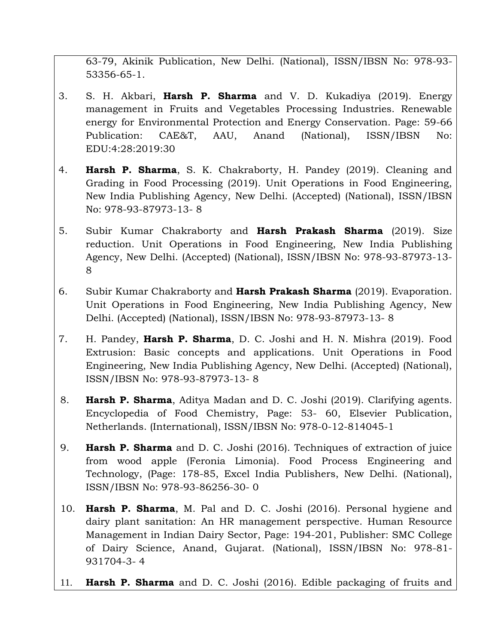63-79, Akinik Publication, New Delhi. (National), ISSN/IBSN No: 978-93- 53356-65-1.

- 3. S. H. Akbari, **Harsh P. Sharma** and V. D. Kukadiya (2019). Energy management in Fruits and Vegetables Processing Industries. Renewable energy for Environmental Protection and Energy Conservation. Page: 59-66 Publication: CAE&T, AAU, Anand (National), ISSN/IBSN No: EDU:4:28:2019:30
- 4. **Harsh P. Sharma**, S. K. Chakraborty, H. Pandey (2019). Cleaning and Grading in Food Processing (2019). Unit Operations in Food Engineering, New India Publishing Agency, New Delhi. (Accepted) (National), ISSN/IBSN No: 978-93-87973-13- 8
- 5. Subir Kumar Chakraborty and **Harsh Prakash Sharma** (2019). Size reduction. Unit Operations in Food Engineering, New India Publishing Agency, New Delhi. (Accepted) (National), ISSN/IBSN No: 978-93-87973-13- 8
- 6. Subir Kumar Chakraborty and **Harsh Prakash Sharma** (2019). Evaporation. Unit Operations in Food Engineering, New India Publishing Agency, New Delhi. (Accepted) (National), ISSN/IBSN No: 978-93-87973-13- 8
- 7. H. Pandey, **Harsh P. Sharma**, D. C. Joshi and H. N. Mishra (2019). Food Extrusion: Basic concepts and applications. Unit Operations in Food Engineering, New India Publishing Agency, New Delhi. (Accepted) (National), ISSN/IBSN No: 978-93-87973-13- 8
- 8. **Harsh P. Sharma**, Aditya Madan and D. C. Joshi (2019). Clarifying agents. Encyclopedia of Food Chemistry, Page: 53- 60, Elsevier Publication, Netherlands. (International), ISSN/IBSN No: 978-0-12-814045-1
- 9. **Harsh P. Sharma** and D. C. Joshi (2016). Techniques of extraction of juice from wood apple (Feronia Limonia). Food Process Engineering and Technology, (Page: 178-85, Excel India Publishers, New Delhi. (National), ISSN/IBSN No: 978-93-86256-30- 0
- 10. **Harsh P. Sharma**, M. Pal and D. C. Joshi (2016). Personal hygiene and dairy plant sanitation: An HR management perspective. Human Resource Management in Indian Dairy Sector, Page: 194-201, Publisher: SMC College of Dairy Science, Anand, Gujarat. (National), ISSN/IBSN No: 978-81- 931704-3- 4
- 11. **Harsh P. Sharma** and D. C. Joshi (2016). Edible packaging of fruits and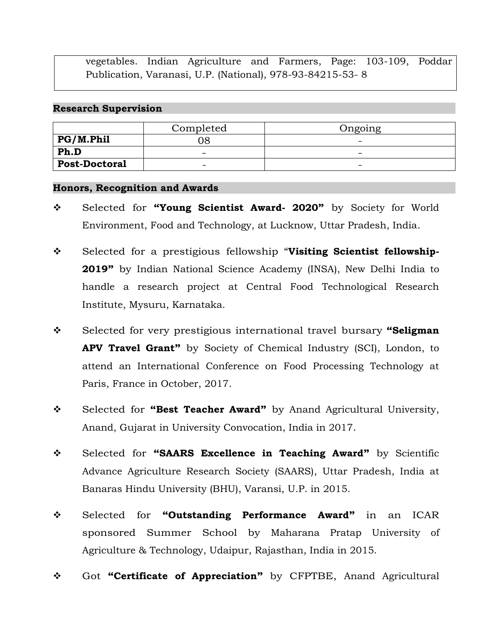vegetables. Indian Agriculture and Farmers, Page: 103-109, Poddar Publication, Varanasi, U.P. (National), 978-93-84215-53- 8

#### **Research Supervision**

|                      | Completed                | Ongoing                  |
|----------------------|--------------------------|--------------------------|
| PG/M.Phil            | 36                       | -                        |
| Ph.D                 | $\overline{\phantom{a}}$ | -                        |
| <b>Post-Doctoral</b> | $\overline{\phantom{0}}$ | $\overline{\phantom{0}}$ |

#### **Honors, Recognition and Awards**

- Selected for **"Young Scientist Award- 2020"** by Society for World Environment, Food and Technology, at Lucknow, Uttar Pradesh, India.
- Selected for a prestigious fellowship "**Visiting Scientist fellowship-2019"** by Indian National Science Academy (INSA), New Delhi India to handle a research project at Central Food Technological Research Institute, Mysuru, Karnataka.
- Selected for very prestigious international travel bursary **"Seligman APV Travel Grant"** by Society of Chemical Industry (SCI), London, to attend an International Conference on Food Processing Technology at Paris, France in October, 2017.
- Selected for **"Best Teacher Award"** by Anand Agricultural University, Anand, Gujarat in University Convocation, India in 2017.
- Selected for **"SAARS Excellence in Teaching Award"** by Scientific Advance Agriculture Research Society (SAARS), Uttar Pradesh, India at Banaras Hindu University (BHU), Varansi, U.P. in 2015.
- Selected for **"Outstanding Performance Award"** in an ICAR sponsored Summer School by Maharana Pratap University of Agriculture & Technology, Udaipur, Rajasthan, India in 2015.
- Got **"Certificate of Appreciation"** by CFPTBE, Anand Agricultural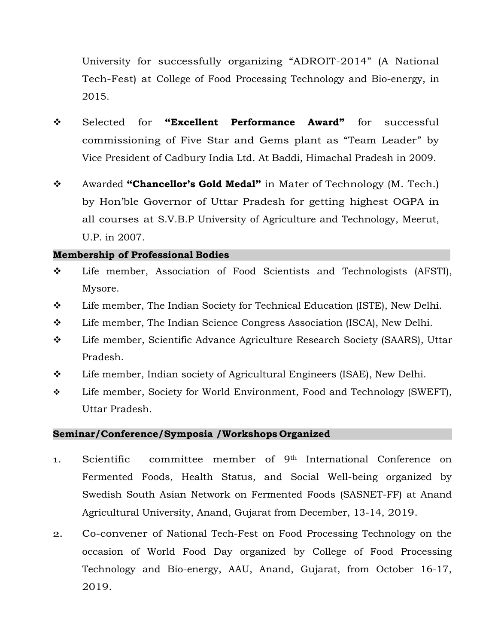University for successfully organizing "ADROIT-2014" (A National Tech-Fest) at College of Food Processing Technology and Bio-energy, in 2015.

- Selected for **"Excellent Performance Award"** for successful commissioning of Five Star and Gems plant as "Team Leader" by Vice President of Cadbury India Ltd. At Baddi, Himachal Pradesh in 2009.
- Awarded **"Chancellor's Gold Medal"** in Mater of Technology (M. Tech.) by Hon'ble Governor of Uttar Pradesh for getting highest OGPA in all courses at S.V.B.P University of Agriculture and Technology, Meerut, U.P. in 2007.

### **Membership of Professional Bodies**

- Life member, Association of Food Scientists and Technologists (AFSTI), Mysore.
- Life member, The Indian Society for Technical Education (ISTE), New Delhi.
- $\div$  Life member, The Indian Science Congress Association (ISCA), New Delhi.
- Life member, Scientific Advance Agriculture Research Society (SAARS), Uttar Pradesh.
- Life member, Indian society of Agricultural Engineers (ISAE), New Delhi.
- Life member, Society for World Environment, Food and Technology (SWEFT), Uttar Pradesh.

### **Seminar/Conference/Symposia /Workshops Organized**

- 1. Scientific committee member of 9th International Conference on Fermented Foods, Health Status, and Social Well-being organized by Swedish South Asian Network on Fermented Foods (SASNET-FF) at Anand Agricultural University, Anand, Gujarat from December, 13-14, 2019.
- 2. Co-convener of National Tech-Fest on Food Processing Technology on the occasion of World Food Day organized by College of Food Processing Technology and Bio-energy, AAU, Anand, Gujarat, from October 16-17, 2019.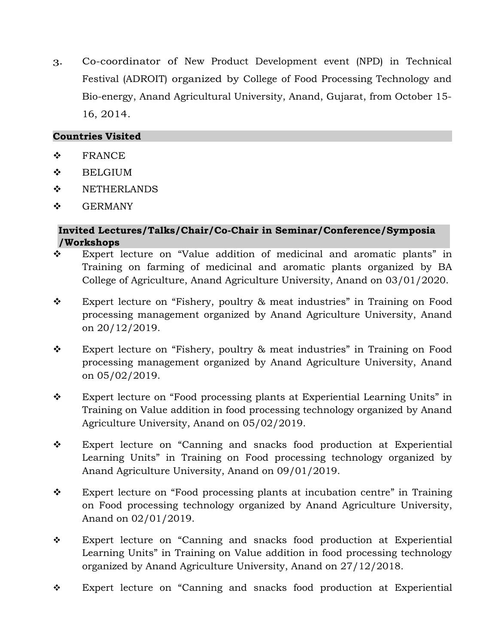3. Co-coordinator of New Product Development event (NPD) in Technical Festival (ADROIT) organized by College of Food Processing Technology and Bio-energy, Anand Agricultural University, Anand, Gujarat, from October 15- 16, 2014.

## **Countries Visited**

- $\div$  FRANCE
- **❖** BELGIUM
- $\div$  NETHERLANDS
- $\div$  GERMANY

## **Invited Lectures/Talks/Chair/Co-Chair in Seminar/Conference/Symposia /Workshops**

- Expert lecture on "Value addition of medicinal and aromatic plants" in Training on farming of medicinal and aromatic plants organized by BA College of Agriculture, Anand Agriculture University, Anand on 03/01/2020.
- \* Expert lecture on "Fishery, poultry & meat industries" in Training on Food processing management organized by Anand Agriculture University, Anand on 20/12/2019.
- Expert lecture on "Fishery, poultry & meat industries" in Training on Food processing management organized by Anand Agriculture University, Anand on 05/02/2019.
- Expert lecture on "Food processing plants at Experiential Learning Units" in Training on Value addition in food processing technology organized by Anand Agriculture University, Anand on 05/02/2019.
- Expert lecture on "Canning and snacks food production at Experiential Learning Units" in Training on Food processing technology organized by Anand Agriculture University, Anand on 09/01/2019.
- Expert lecture on "Food processing plants at incubation centre" in Training on Food processing technology organized by Anand Agriculture University, Anand on 02/01/2019.
- Expert lecture on "Canning and snacks food production at Experiential Learning Units" in Training on Value addition in food processing technology organized by Anand Agriculture University, Anand on 27/12/2018.
- Expert lecture on "Canning and snacks food production at Experiential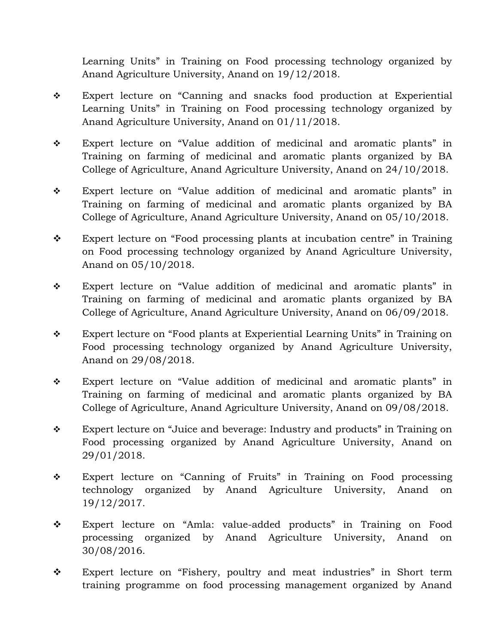Learning Units" in Training on Food processing technology organized by Anand Agriculture University, Anand on 19/12/2018.

- Expert lecture on "Canning and snacks food production at Experiential Learning Units" in Training on Food processing technology organized by Anand Agriculture University, Anand on 01/11/2018.
- Expert lecture on "Value addition of medicinal and aromatic plants" in Training on farming of medicinal and aromatic plants organized by BA College of Agriculture, Anand Agriculture University, Anand on 24/10/2018.
- Expert lecture on "Value addition of medicinal and aromatic plants" in Training on farming of medicinal and aromatic plants organized by BA College of Agriculture, Anand Agriculture University, Anand on 05/10/2018.
- \* Expert lecture on "Food processing plants at incubation centre" in Training on Food processing technology organized by Anand Agriculture University, Anand on 05/10/2018.
- Expert lecture on "Value addition of medicinal and aromatic plants" in Training on farming of medicinal and aromatic plants organized by BA College of Agriculture, Anand Agriculture University, Anand on 06/09/2018.
- Expert lecture on "Food plants at Experiential Learning Units" in Training on Food processing technology organized by Anand Agriculture University, Anand on 29/08/2018.
- Expert lecture on "Value addition of medicinal and aromatic plants" in Training on farming of medicinal and aromatic plants organized by BA College of Agriculture, Anand Agriculture University, Anand on 09/08/2018.
- \* Expert lecture on "Juice and beverage: Industry and products" in Training on Food processing organized by Anand Agriculture University, Anand on 29/01/2018.
- Expert lecture on "Canning of Fruits" in Training on Food processing technology organized by Anand Agriculture University, Anand on 19/12/2017.
- Expert lecture on "Amla: value-added products" in Training on Food processing organized by Anand Agriculture University, Anand on 30/08/2016.
- \* Expert lecture on "Fishery, poultry and meat industries" in Short term training programme on food processing management organized by Anand